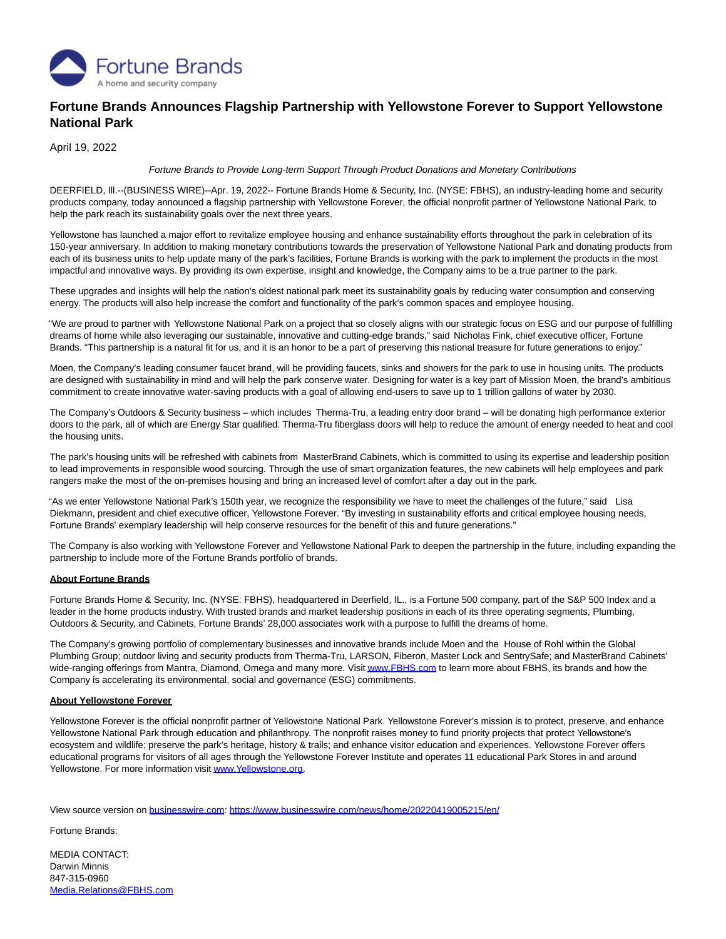

## **Fortune Brands Announces Flagship Partnership with Yellowstone Forever to Support Yellowstone National Park**

April 19, 2022

## Fortune Brands to Provide Long-term Support Through Product Donations and Monetary Contributions

DEERFIELD, Ill.--(BUSINESS WIRE)--Apr. 19, 2022-- Fortune Brands Home & Security, Inc. (NYSE: FBHS), an industry-leading home and security products company, today announced a flagship partnership with Yellowstone Forever, the official nonprofit partner of Yellowstone National Park, to help the park reach its sustainability goals over the next three years.

Yellowstone has launched a major effort to revitalize employee housing and enhance sustainability efforts throughout the park in celebration of its 150-year anniversary. In addition to making monetary contributions towards the preservation of Yellowstone National Park and donating products from each of its business units to help update many of the park's facilities, Fortune Brands is working with the park to implement the products in the most impactful and innovative ways. By providing its own expertise, insight and knowledge, the Company aims to be a true partner to the park.

These upgrades and insights will help the nation's oldest national park meet its sustainability goals by reducing water consumption and conserving energy. The products will also help increase the comfort and functionality of the park's common spaces and employee housing.

"We are proud to partner with Yellowstone National Park on a project that so closely aligns with our strategic focus on ESG and our purpose of fulfilling dreams of home while also leveraging our sustainable, innovative and cutting-edge brands," said Nicholas Fink, chief executive officer, Fortune Brands. "This partnership is a natural fit for us, and it is an honor to be a part of preserving this national treasure for future generations to enjoy."

Moen, the Company's leading consumer faucet brand, will be providing faucets, sinks and showers for the park to use in housing units. The products are designed with sustainability in mind and will help the park conserve water. Designing for water is a key part of Mission Moen, the brand's ambitious commitment to create innovative water-saving products with a goal of allowing end-users to save up to 1 trillion gallons of water by 2030.

The Company's Outdoors & Security business – which includes Therma-Tru, a leading entry door brand – will be donating high performance exterior doors to the park, all of which are Energy Star qualified. Therma-Tru fiberglass doors will help to reduce the amount of energy needed to heat and cool the housing units.

The park's housing units will be refreshed with cabinets from MasterBrand Cabinets, which is committed to using its expertise and leadership position to lead improvements in responsible wood sourcing. Through the use of smart organization features, the new cabinets will help employees and park rangers make the most of the on-premises housing and bring an increased level of comfort after a day out in the park.

"As we enter Yellowstone National Park's 150th year, we recognize the responsibility we have to meet the challenges of the future," said Lisa Diekmann, president and chief executive officer, Yellowstone Forever. "By investing in sustainability efforts and critical employee housing needs, Fortune Brands' exemplary leadership will help conserve resources for the benefit of this and future generations."

The Company is also working with Yellowstone Forever and Yellowstone National Park to deepen the partnership in the future, including expanding the partnership to include more of the Fortune Brands portfolio of brands.

## **About Fortune Brands**

Fortune Brands Home & Security, Inc. (NYSE: FBHS), headquartered in Deerfield, IL., is a Fortune 500 company, part of the S&P 500 Index and a leader in the home products industry. With trusted brands and market leadership positions in each of its three operating segments, Plumbing, Outdoors & Security, and Cabinets, Fortune Brands' 28,000 associates work with a purpose to fulfill the dreams of home.

The Company's growing portfolio of complementary businesses and innovative brands include Moen and the House of Rohl within the Global Plumbing Group; outdoor living and security products from Therma-Tru, LARSON, Fiberon, Master Lock and SentrySafe; and MasterBrand Cabinets' wide-ranging offerings from Mantra, Diamond, Omega and many more. Visi[t www.FBHS.com t](https://cts.businesswire.com/ct/CT?id=smartlink&url=http%3A%2F%2Fwww.FBHS.com&esheet=52689591&newsitemid=20220419005215&lan=en-US&anchor=www.FBHS.com&index=1&md5=213ec2ac705463d32376827846d38ccd)o learn more about FBHS, its brands and how the Company is accelerating its environmental, social and governance (ESG) commitments.

## **About Yellowstone Forever**

Yellowstone Forever is the official nonprofit partner of Yellowstone National Park. Yellowstone Forever's mission is to protect, preserve, and enhance Yellowstone National Park through education and philanthropy. The nonprofit raises money to fund priority projects that protect Yellowstone's ecosystem and wildlife; preserve the park's heritage, history & trails; and enhance visitor education and experiences. Yellowstone Forever offers educational programs for visitors of all ages through the Yellowstone Forever Institute and operates 11 educational Park Stores in and around Yellowstone. For more information visi[t www.Yellowstone.org.](https://cts.businesswire.com/ct/CT?id=smartlink&url=http%3A%2F%2Fwww.Yellowstone.org&esheet=52689591&newsitemid=20220419005215&lan=en-US&anchor=www.Yellowstone.org&index=2&md5=8731e8e289971353682a1a683f01d075)

View source version on [businesswire.com:](http://businesswire.com/)<https://www.businesswire.com/news/home/20220419005215/en/>

Fortune Brands:

MEDIA CONTACT: Darwin Minnis 847-315-0960 [Media.Relations@FBHS.com](mailto:Media.Relations@FBHS.com)